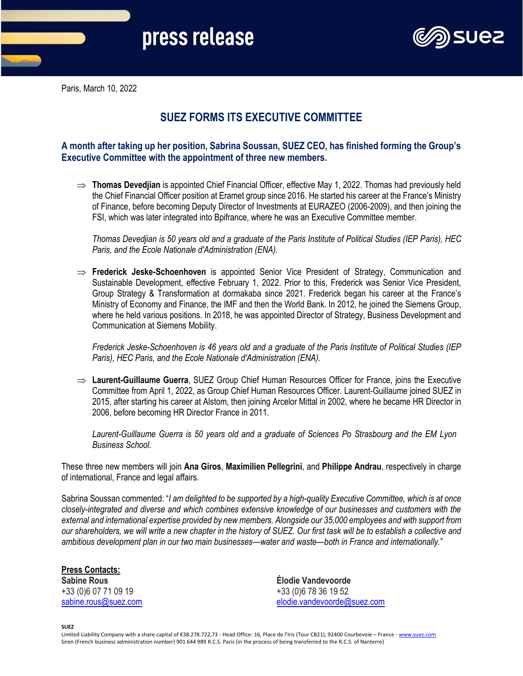

Paris, March 10, 2022

## **SUEZ FORMS ITS EXECUTIVE COMMITTEE**

## **A month after taking up her position, Sabrina Soussan, SUEZ CEO, has finished forming the Group's Executive Committee with the appointment of three new members.**

 **Thomas Devedjian** is appointed Chief Financial Officer, effective May 1, 2022. Thomas had previously held the Chief Financial Officer position at Eramet group since 2016. He started his career at the France's Ministry of Finance, before becoming Deputy Director of Investments at EURAZEO (2006-2009), and then joining the FSI, which was later integrated into Bpifrance, where he was an Executive Committee member.

*Thomas Devedjian is 50 years old and a graduate of the Paris Institute of Political Studies (IEP Paris), HEC Paris, and the Ecole Nationale d'Administration (ENA).*

 **Frederick Jeske-Schoenhoven** is appointed Senior Vice President of Strategy, Communication and Sustainable Development, effective February 1, 2022. Prior to this, Frederick was Senior Vice President, Group Strategy & Transformation at dormakaba since 2021. Frederick began his career at the France's Ministry of Economy and Finance, the IMF and then the World Bank. In 2012, he joined the Siemens Group, where he held various positions. In 2018, he was appointed Director of Strategy, Business Development and Communication at Siemens Mobility.

*Frederick Jeske-Schoenhoven is 46 years old and a graduate of the Paris Institute of Political Studies (IEP Paris), HEC Paris, and the Ecole Nationale d'Administration (ENA).*

 **Laurent-Guillaume Guerra**, SUEZ Group Chief Human Resources Officer for France, joins the Executive Committee from April 1, 2022, as Group Chief Human Resources Officer. Laurent-Guillaume joined SUEZ in 2015, after starting his career at Alstom, then joining Arcelor Mittal in 2002, where he became HR Director in 2006, before becoming HR Director France in 2011.

*Laurent-Guillaume Guerra is 50 years old and a graduate of Sciences Po Strasbourg and the EM Lyon Business School.*

These three new members will join **Ana Giros**, **Maximilien Pellegrini**, and **Philippe Andrau**, respectively in charge of international, France and legal affairs.

Sabrina Soussan commented: "*I am delighted to be supported by a high-quality Executive Committee, which is at once closely-integrated and diverse and which combines extensive knowledge of our businesses and customers with the external and international expertise provided by new members. Alongside our 35,000 employees and with support from our shareholders, we will write a new chapter in the history of SUEZ. Our first task will be to establish a collective and ambitious development plan in our two main businesses—water and waste—both in France and internationally.*"

## **Press Contacts:**

+33 (0)6 07 71 09 19 +33 (0)6 78 36 19 52

**Sabine Rous Élodie Vandevoorde** [sabine.rous@suez.com](mailto:sabine.rous@suez.com) [elodie.vandevoorde@suez.com](mailto:elodie.vandevoorde@suez.com)

**SUEZ**